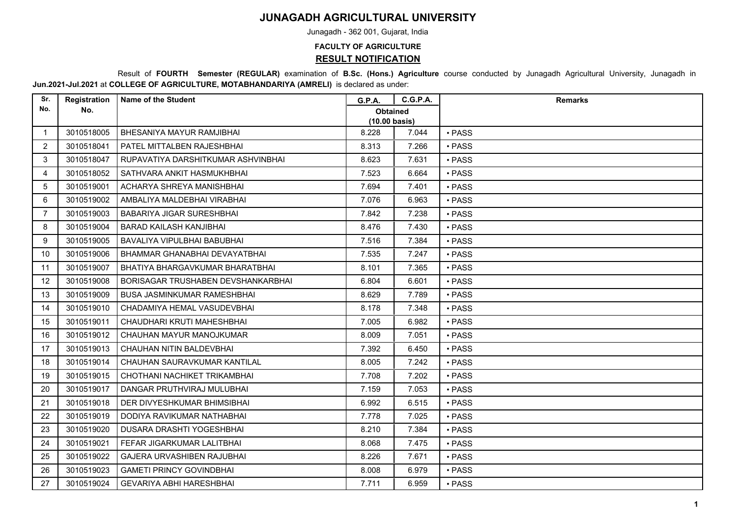## **JUNAGADH AGRICULTURAL UNIVERSITY**

Junagadh - 362 001, Gujarat, India

## **FACULTY OF AGRICULTURE RESULT NOTIFICATION**

 Result of **FOURTH Semester (REGULAR)** examination of **B.Sc. (Hons.) Agriculture** course conducted by Junagadh Agricultural University, Junagadh in **Jun.2021-Jul.2021** at **COLLEGE OF AGRICULTURE, MOTABHANDARIYA (AMRELI)** is declared as under:

| Sr.            | Registration | <b>Name of the Student</b>         | <b>G.P.A.</b>                              | <b>C.G.P.A.</b> | <b>Remarks</b> |
|----------------|--------------|------------------------------------|--------------------------------------------|-----------------|----------------|
| No.            | No.          |                                    | <b>Obtained</b><br>$(10.00 \text{ basis})$ |                 |                |
| $\overline{1}$ | 3010518005   | BHESANIYA MAYUR RAMJIBHAI          | 8.228                                      | 7.044           | · PASS         |
| 2              | 3010518041   | PATEL MITTALBEN RAJESHBHAI         | 8.313                                      | 7.266           | • PASS         |
| 3              | 3010518047   | RUPAVATIYA DARSHITKUMAR ASHVINBHAI | 8.623                                      | 7.631           | • PASS         |
| 4              | 3010518052   | SATHVARA ANKIT HASMUKHBHAI         | 7.523                                      | 6.664           | · PASS         |
| 5              | 3010519001   | ACHARYA SHREYA MANISHBHAI          | 7.694                                      | 7.401           | • PASS         |
| 6              | 3010519002   | AMBALIYA MALDEBHAI VIRABHAI        | 7.076                                      | 6.963           | · PASS         |
| $\overline{7}$ | 3010519003   | <b>BABARIYA JIGAR SURESHBHAI</b>   | 7.842                                      | 7.238           | · PASS         |
| 8              | 3010519004   | BARAD KAILASH KANJIBHAI            | 8.476                                      | 7.430           | · PASS         |
| 9              | 3010519005   | BAVALIYA VIPULBHAI BABUBHAI        | 7.516                                      | 7.384           | • PASS         |
| 10             | 3010519006   | BHAMMAR GHANABHAI DEVAYATBHAI      | 7.535                                      | 7.247           | $\cdot$ PASS   |
| 11             | 3010519007   | BHATIYA BHARGAVKUMAR BHARATBHAI    | 8.101                                      | 7.365           | • PASS         |
| 12             | 3010519008   | BORISAGAR TRUSHABEN DEVSHANKARBHAI | 6.804                                      | 6.601           | • PASS         |
| 13             | 3010519009   | <b>BUSA JASMINKUMAR RAMESHBHAI</b> | 8.629                                      | 7.789           | • PASS         |
| 14             | 3010519010   | CHADAMIYA HEMAL VASUDEVBHAI        | 8.178                                      | 7.348           | $\cdot$ PASS   |
| 15             | 3010519011   | CHAUDHARI KRUTI MAHESHBHAI         | 7.005                                      | 6.982           | · PASS         |
| 16             | 3010519012   | CHAUHAN MAYUR MANOJKUMAR           | 8.009                                      | 7.051           | · PASS         |
| 17             | 3010519013   | CHAUHAN NITIN BALDEVBHAI           | 7.392                                      | 6.450           | $\cdot$ PASS   |
| 18             | 3010519014   | CHAUHAN SAURAVKUMAR KANTILAL       | 8.005                                      | 7.242           | • PASS         |
| 19             | 3010519015   | CHOTHANI NACHIKET TRIKAMBHAI       | 7.708                                      | 7.202           | • PASS         |
| 20             | 3010519017   | DANGAR PRUTHVIRAJ MULUBHAI         | 7.159                                      | 7.053           | • PASS         |
| 21             | 3010519018   | DER DIVYESHKUMAR BHIMSIBHAI        | 6.992                                      | 6.515           | • PASS         |
| 22             | 3010519019   | DODIYA RAVIKUMAR NATHABHAI         | 7.778                                      | 7.025           | • PASS         |
| 23             | 3010519020   | DUSARA DRASHTI YOGESHBHAI          | 8.210                                      | 7.384           | · PASS         |
| 24             | 3010519021   | FEFAR JIGARKUMAR LALITBHAI         | 8.068                                      | 7.475           | · PASS         |
| 25             | 3010519022   | <b>GAJERA URVASHIBEN RAJUBHAI</b>  | 8.226                                      | 7.671           | • PASS         |
| 26             | 3010519023   | <b>GAMETI PRINCY GOVINDBHAI</b>    | 8.008                                      | 6.979           | • PASS         |
| 27             | 3010519024   | <b>GEVARIYA ABHI HARESHBHAI</b>    | 7.711                                      | 6.959           | • PASS         |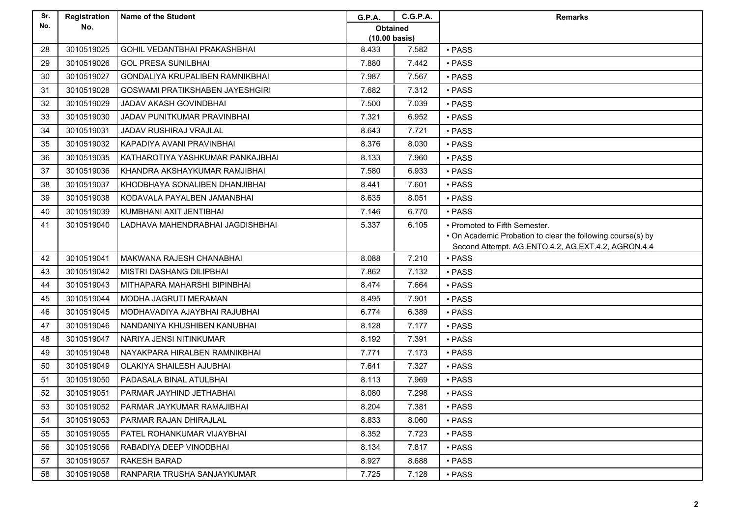| Sr. | Registration | <b>Name of the Student</b>             | G.P.A.                          | <b>C.G.P.A.</b> | <b>Remarks</b>                                              |
|-----|--------------|----------------------------------------|---------------------------------|-----------------|-------------------------------------------------------------|
| No. | No.          |                                        | <b>Obtained</b>                 |                 |                                                             |
|     | 3010519025   | GOHIL VEDANTBHAI PRAKASHBHAI           | (10.00 basis)<br>8.433<br>7.582 |                 | · PASS                                                      |
| 28  |              |                                        |                                 |                 |                                                             |
| 29  | 3010519026   | <b>GOL PRESA SUNILBHAI</b>             | 7.880                           | 7.442           | • PASS                                                      |
| 30  | 3010519027   | GONDALIYA KRUPALIBEN RAMNIKBHAI        | 7.987                           | 7.567           | • PASS                                                      |
| 31  | 3010519028   | <b>GOSWAMI PRATIKSHABEN JAYESHGIRI</b> | 7.682                           | 7.312           | • PASS                                                      |
| 32  | 3010519029   | JADAV AKASH GOVINDBHAI                 | 7.500                           | 7.039           | · PASS                                                      |
| 33  | 3010519030   | <b>JADAV PUNITKUMAR PRAVINBHAI</b>     | 7.321                           | 6.952           | • PASS                                                      |
| 34  | 3010519031   | <b>JADAV RUSHIRAJ VRAJLAL</b>          | 8.643                           | 7.721           | • PASS                                                      |
| 35  | 3010519032   | KAPADIYA AVANI PRAVINBHAI              | 8.376                           | 8.030           | • PASS                                                      |
| 36  | 3010519035   | KATHAROTIYA YASHKUMAR PANKAJBHAI       | 8.133                           | 7.960           | • PASS                                                      |
| 37  | 3010519036   | KHANDRA AKSHAYKUMAR RAMJIBHAI          | 7.580                           | 6.933           | · PASS                                                      |
| 38  | 3010519037   | KHODBHAYA SONALIBEN DHANJIBHAI         | 8.441                           | 7.601           | $\cdot$ PASS                                                |
| 39  | 3010519038   | KODAVALA PAYALBEN JAMANBHAI            | 8.635                           | 8.051           | • PASS                                                      |
| 40  | 3010519039   | KUMBHANI AXIT JENTIBHAI                | 7.146                           | 6.770           | • PASS                                                      |
| 41  | 3010519040   | LADHAVA MAHENDRABHAI JAGDISHBHAI       | 5.337                           | 6.105           | • Promoted to Fifth Semester.                               |
|     |              |                                        |                                 |                 | • On Academic Probation to clear the following course(s) by |
|     |              |                                        |                                 |                 | Second Attempt. AG.ENTO.4.2, AG.EXT.4.2, AGRON.4.4          |
| 42  | 3010519041   | MAKWANA RAJESH CHANABHAI               | 8.088                           | 7.210           | • PASS                                                      |
| 43  | 3010519042   | <b>MISTRI DASHANG DILIPBHAI</b>        | 7.862                           | 7.132           | • PASS                                                      |
| 44  | 3010519043   | MITHAPARA MAHARSHI BIPINBHAI           | 8.474                           | 7.664           | • PASS                                                      |
| 45  | 3010519044   | MODHA JAGRUTI MERAMAN                  | 8.495                           | 7.901           | • PASS                                                      |
| 46  | 3010519045   | MODHAVADIYA AJAYBHAI RAJUBHAI          | 6.774                           | 6.389           | • PASS                                                      |
| 47  | 3010519046   | NANDANIYA KHUSHIBEN KANUBHAI           | 8.128                           | 7.177           | • PASS                                                      |
| 48  | 3010519047   | NARIYA JENSI NITINKUMAR                | 8.192                           | 7.391           | · PASS                                                      |
| 49  | 3010519048   | NAYAKPARA HIRALBEN RAMNIKBHAI          | 7.771                           | 7.173           | $\cdot$ PASS                                                |
| 50  | 3010519049   | OLAKIYA SHAILESH AJUBHAI               | 7.641                           | 7.327           | • PASS                                                      |
| 51  | 3010519050   | PADASALA BINAL ATULBHAI                | 8.113                           | 7.969           | • PASS                                                      |
| 52  | 3010519051   | PARMAR JAYHIND JETHABHAI               | 8.080                           | 7.298           | • PASS                                                      |
| 53  | 3010519052   | PARMAR JAYKUMAR RAMAJIBHAI             | 8.204                           | 7.381           | • PASS                                                      |
| 54  | 3010519053   | PARMAR RAJAN DHIRAJLAL                 | 8.833                           | 8.060           | • PASS                                                      |
| 55  | 3010519055   | PATEL ROHANKUMAR VIJAYBHAI             | 8.352                           | 7.723           | • PASS                                                      |
| 56  | 3010519056   | RABADIYA DEEP VINODBHAI                | 8.134                           | 7.817           | $\cdot$ PASS                                                |
| 57  | 3010519057   | <b>RAKESH BARAD</b>                    | 8.927                           | 8.688           | • PASS                                                      |
| 58  | 3010519058   | RANPARIA TRUSHA SANJAYKUMAR            | 7.725                           | 7.128           | • PASS                                                      |